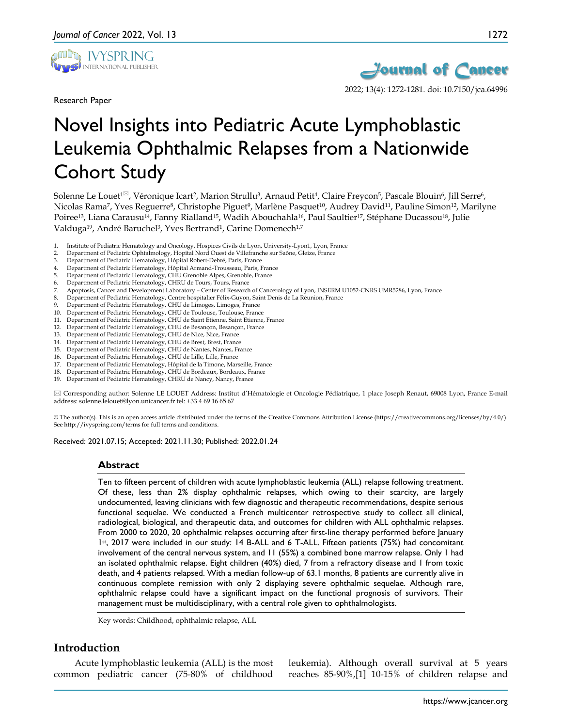

Research Paper



2022; 13(4): 1272-1281. doi: 10.7150/jca.64996

# Novel Insights into Pediatric Acute Lymphoblastic Leukemia Ophthalmic Relapses from a Nationwide Cohort Study

Solenne Le Louet<sup>1<sup>[2]</sup>, Véronique Icart<sup>2</sup>, Marion Strullu<sup>3</sup>, Arnaud Petit<sup>4</sup>, Claire Freycon<sup>5</sup>, Pascale Blouin<sup>6</sup>, Jill Serre<sup>6</sup>,</sup> Nicolas Rama<sup>7</sup>, Yves Reguerre<sup>8</sup>, Christophe Piguet<sup>9</sup>, Marlène Pasquet<sup>10</sup>, Audrey David<sup>11</sup>, Pauline Simon<sup>12</sup>, Marilyne Poiree<sup>13</sup>, Liana Carausu<sup>14</sup>, Fanny Rialland<sup>15</sup>, Wadih Abouchahla<sup>16</sup>, Paul Saultier<sup>17</sup>, Stéphane Ducassou<sup>18</sup>, Julie Valduga<sup>19</sup>, André Baruchel<sup>3</sup>, Yves Bertrand<sup>1</sup>, Carine Domenech<sup>1,7</sup>

- 1. Institute of Pediatric Hematology and Oncology, Hospices Civils de Lyon, University-Lyon1, Lyon, France
- 2. Department of Pediatric Ophtalmology, Hopital Nord Ouest de Villefranche sur Saône, Gleize, France
- 3. Department of Pediatric Hematology, Hôpital Robert-Debré, Paris, France
- 4. Department of Pediatric Hematology, Hôpital Armand-Trousseau, Paris, France
- 5. Department of Pediatric Hematology, CHU Grenoble Alpes, Grenoble, France
- 6. Department of Pediatric Hematology, CHRU de Tours, Tours, France
- 7. Apoptosis, Cancer and Development Laboratory Center of Research of Cancerology of Lyon, INSERM U1052-CNRS UMR5286, Lyon, France
- 8. Department of Pediatric Hematology, Centre hospitalier Félix-Guyon, Saint Denis de La Réunion, France
- 9. Department of Pediatric Hematology, CHU de Limoges, Limoges, France
- 10. Department of Pediatric Hematology, CHU de Toulouse, Toulouse, France
- 11. Department of Pediatric Hematology, CHU de Saint Etienne, Saint Etienne, France
- 12. Department of Pediatric Hematology, CHU de Besançon, Besançon, France
- 13. Department of Pediatric Hematology, CHU de Nice, Nice, France
- 14. Department of Pediatric Hematology, CHU de Brest, Brest, France
- 15. Department of Pediatric Hematology, CHU de Nantes, Nantes, France
- 16. Department of Pediatric Hematology, CHU de Lille, Lille, France
- 17. Department of Pediatric Hematology, Hôpital de la Timone, Marseille, France 18. Department of Pediatric Hematology, CHU de Bordeaux, Bordeaux, France
- 19. Department of Pediatric Hematology, CHRU de Nancy, Nancy, France

 Corresponding author: Solenne LE LOUET Address: Institut d'Hématologie et Oncologie Pédiatrique, 1 place Joseph Renaut, 69008 Lyon, France E-mail address: solenne.lelouet@lyon.unicancer.fr tel: +33 4 69 16 65 67

© The author(s). This is an open access article distributed under the terms of the Creative Commons Attribution License (https://creativecommons.org/licenses/by/4.0/). See http://ivyspring.com/terms for full terms and conditions.

Received: 2021.07.15; Accepted: 2021.11.30; Published: 2022.01.24

#### **Abstract**

Ten to fifteen percent of children with acute lymphoblastic leukemia (ALL) relapse following treatment. Of these, less than 2% display ophthalmic relapses, which owing to their scarcity, are largely undocumented, leaving clinicians with few diagnostic and therapeutic recommendations, despite serious functional sequelae. We conducted a French multicenter retrospective study to collect all clinical, radiological, biological, and therapeutic data, and outcomes for children with ALL ophthalmic relapses. From 2000 to 2020, 20 ophthalmic relapses occurring after first-line therapy performed before January 1st, 2017 were included in our study: 14 B-ALL and 6 T-ALL. Fifteen patients (75%) had concomitant involvement of the central nervous system, and 11 (55%) a combined bone marrow relapse. Only 1 had an isolated ophthalmic relapse. Eight children (40%) died, 7 from a refractory disease and 1 from toxic death, and 4 patients relapsed. With a median follow-up of 63.1 months, 8 patients are currently alive in continuous complete remission with only 2 displaying severe ophthalmic sequelae. Although rare, ophthalmic relapse could have a significant impact on the functional prognosis of survivors. Their management must be multidisciplinary, with a central role given to ophthalmologists.

Key words: Childhood, ophthalmic relapse, ALL

## **Introduction**

Acute lymphoblastic leukemia (ALL) is the most common pediatric cancer (75-80% of childhood

leukemia). Although overall survival at 5 years reaches 85-90%,[1] 10-15% of children relapse and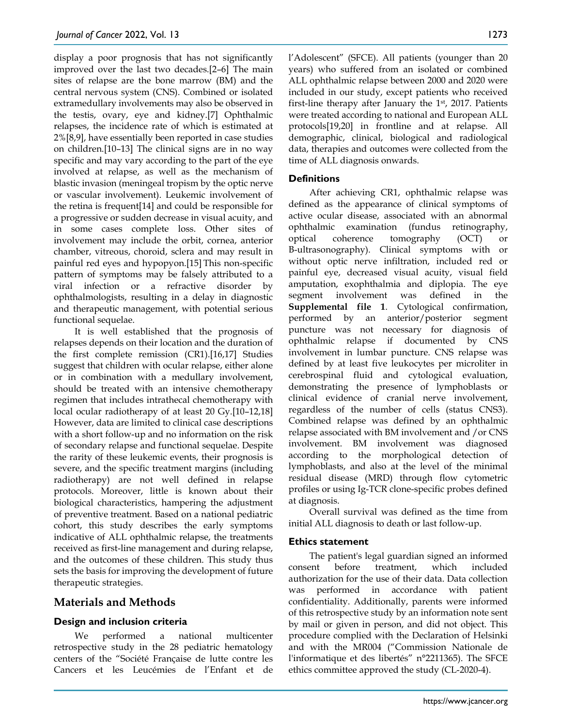display a poor prognosis that has not significantly improved over the last two decades.[2–6] The main sites of relapse are the bone marrow (BM) and the central nervous system (CNS). Combined or isolated extramedullary involvements may also be observed in the testis, ovary, eye and kidney.[7] Ophthalmic relapses, the incidence rate of which is estimated at 2%[8,9], have essentially been reported in case studies on children.[10–13] The clinical signs are in no way specific and may vary according to the part of the eye involved at relapse, as well as the mechanism of blastic invasion (meningeal tropism by the optic nerve or vascular involvement). Leukemic involvement of the retina is frequent[14] and could be responsible for a progressive or sudden decrease in visual acuity, and in some cases complete loss. Other sites of involvement may include the orbit, cornea, anterior chamber, vitreous, choroid, sclera and may result in painful red eyes and hypopyon.[15] This non-specific pattern of symptoms may be falsely attributed to a viral infection or a refractive disorder by ophthalmologists, resulting in a delay in diagnostic and therapeutic management, with potential serious functional sequelae.

It is well established that the prognosis of relapses depends on their location and the duration of the first complete remission (CR1).[16,17] Studies suggest that children with ocular relapse, either alone or in combination with a medullary involvement, should be treated with an intensive chemotherapy regimen that includes intrathecal chemotherapy with local ocular radiotherapy of at least 20 Gy.[10–12,18] However, data are limited to clinical case descriptions with a short follow-up and no information on the risk of secondary relapse and functional sequelae. Despite the rarity of these leukemic events, their prognosis is severe, and the specific treatment margins (including radiotherapy) are not well defined in relapse protocols. Moreover, little is known about their biological characteristics, hampering the adjustment of preventive treatment. Based on a national pediatric cohort, this study describes the early symptoms indicative of ALL ophthalmic relapse, the treatments received as first-line management and during relapse, and the outcomes of these children. This study thus sets the basis for improving the development of future therapeutic strategies.

## **Materials and Methods**

#### **Design and inclusion criteria**

We performed a national multicenter retrospective study in the 28 pediatric hematology centers of the "Société Française de lutte contre les Cancers et les Leucémies de l'Enfant et de l'Adolescent" (SFCE). All patients (younger than 20 years) who suffered from an isolated or combined ALL ophthalmic relapse between 2000 and 2020 were included in our study, except patients who received first-line therapy after January the  $1<sup>st</sup>$ , 2017. Patients were treated according to national and European ALL protocols[19,20] in frontline and at relapse. All demographic, clinical, biological and radiological data, therapies and outcomes were collected from the time of ALL diagnosis onwards.

## **Definitions**

After achieving CR1, ophthalmic relapse was defined as the appearance of clinical symptoms of active ocular disease, associated with an abnormal ophthalmic examination (fundus retinography, optical coherence tomography (OCT) or B-ultrasonography). Clinical symptoms with or without optic nerve infiltration, included red or painful eye, decreased visual acuity, visual field amputation, exophthalmia and diplopia. The eye segment involvement was defined in the **Supplemental file 1**. Cytological confirmation, performed by an anterior/posterior segment puncture was not necessary for diagnosis of ophthalmic relapse if documented by CNS involvement in lumbar puncture. CNS relapse was defined by at least five leukocytes per microliter in cerebrospinal fluid and cytological evaluation, demonstrating the presence of lymphoblasts or clinical evidence of cranial nerve involvement, regardless of the number of cells (status CNS3). Combined relapse was defined by an ophthalmic relapse associated with BM involvement and /or CNS involvement. BM involvement was diagnosed according to the morphological detection of lymphoblasts, and also at the level of the minimal residual disease (MRD) through flow cytometric profiles or using Ig-TCR clone-specific probes defined at diagnosis.

Overall survival was defined as the time from initial ALL diagnosis to death or last follow-up.

#### **Ethics statement**

The patient's legal guardian signed an informed consent before treatment, which included authorization for the use of their data. Data collection was performed in accordance with patient confidentiality. Additionally, parents were informed of this retrospective study by an information note sent by mail or given in person, and did not object. This procedure complied with the Declaration of Helsinki and with the MR004 ("Commission Nationale de l'informatique et des libertés" n°2211365). The SFCE ethics committee approved the study (CL-2020-4).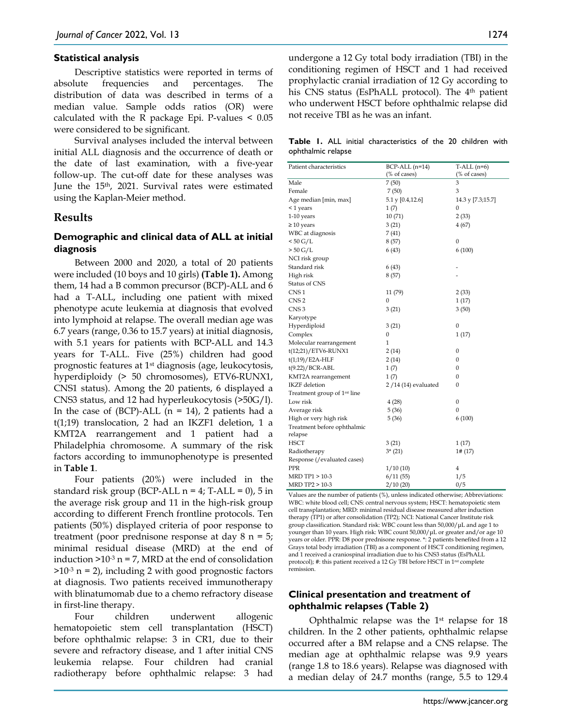#### **Statistical analysis**

Descriptive statistics were reported in terms of absolute frequencies and percentages. The distribution of data was described in terms of a median value. Sample odds ratios (OR) were calculated with the R package Epi. P-values < 0.05 were considered to be significant.

Survival analyses included the interval between initial ALL diagnosis and the occurrence of death or the date of last examination, with a five-year follow-up. The cut-off date for these analyses was June the 15<sup>th</sup>, 2021. Survival rates were estimated using the Kaplan-Meier method.

#### **Results**

## **Demographic and clinical data of ALL at initial diagnosis**

Between 2000 and 2020, a total of 20 patients were included (10 boys and 10 girls) **(Table 1).** Among them, 14 had a B common precursor (BCP)-ALL and 6 had a T-ALL, including one patient with mixed phenotype acute leukemia at diagnosis that evolved into lymphoid at relapse. The overall median age was 6.7 years (range, 0.36 to 15.7 years) at initial diagnosis, with 5.1 years for patients with BCP-ALL and 14.3 years for T-ALL. Five (25%) children had good prognostic features at 1st diagnosis (age, leukocytosis, hyperdiploidy (> 50 chromosomes), ETV6-RUNX1, CNS1 status). Among the 20 patients, 6 displayed a CNS3 status, and 12 had hyperleukocytosis (>50G/l). In the case of (BCP)-ALL ( $n = 14$ ), 2 patients had a t(1;19) translocation, 2 had an IKZF1 deletion, 1 a KMT2A rearrangement and 1 patient had a Philadelphia chromosome. A summary of the risk factors according to immunophenotype is presented in **Table 1**.

Four patients (20%) were included in the standard risk group (BCP-ALL  $n = 4$ ; T-ALL = 0), 5 in the average risk group and 11 in the high-risk group according to different French frontline protocols. Ten patients (50%) displayed criteria of poor response to treatment (poor prednisone response at day 8 n = 5; minimal residual disease (MRD) at the end of induction  $>10^{-3}$  n = 7, MRD at the end of consolidation  $>10^{-3}$  n = 2), including 2 with good prognostic factors at diagnosis. Two patients received immunotherapy with blinatumomab due to a chemo refractory disease in first-line therapy.

Four children underwent allogenic hematopoietic stem cell transplantation (HSCT) before ophthalmic relapse: 3 in CR1, due to their severe and refractory disease, and 1 after initial CNS leukemia relapse. Four children had cranial radiotherapy before ophthalmic relapse: 3 had

undergone a 12 Gy total body irradiation (TBI) in the conditioning regimen of HSCT and 1 had received prophylactic cranial irradiation of 12 Gy according to his CNS status (EsPhALL protocol). The 4<sup>th</sup> patient who underwent HSCT before ophthalmic relapse did not receive TBI as he was an infant.

|                    |  | <b>Table 1.</b> ALL initial characteristics of the 20 children with |  |  |  |
|--------------------|--|---------------------------------------------------------------------|--|--|--|
| ophthalmic relapse |  |                                                                     |  |  |  |

| Patient characteristics                  | $BCP-ALL(n=14)$     | $T-ALL(n=6)$      |
|------------------------------------------|---------------------|-------------------|
|                                          | (% of cases)        | (% of cases)      |
| Male                                     | 7 (50)              | 3                 |
| Female                                   | 7(50)               | 3                 |
| Age median [min, max]                    | 5.1 y [0.4,12.6]    | 14.3 y [7.3;15.7] |
| <1 years                                 | 1(7)                | 0                 |
| 1-10 years                               | 10(71)              | 2(33)             |
| $\geq 10$ years                          | 3(21)               | 4(67)             |
| WBC at diagnosis                         | 7(41)               |                   |
| $< 50$ G/L                               | 8(57)               | $\mathbf{0}$      |
| $> 50$ G/L                               | 6(43)               | 6(100)            |
| NCI risk group                           |                     |                   |
| Standard risk                            | 6(43)               |                   |
| High risk                                | 8(57)               |                   |
| Status of CNS                            |                     |                   |
| CNS <sub>1</sub>                         | 11 (79)             | 2(33)             |
| CNS <sub>2</sub>                         | 0                   | 1(17)             |
| CNS <sub>3</sub>                         | 3(21)               | 3(50)             |
| Karyotype                                |                     |                   |
| Hyperdiploid                             | 3(21)               | 0                 |
| Complex                                  | 0                   | 1(17)             |
| Molecular rearrangement                  | 1                   |                   |
| t(12;21)/ETV6-RUNX1                      | 2(14)               | 0                 |
| $t(1;19)$ /E2A-HLF                       | 2(14)               | 0                 |
| $t(9.22)/BCR-ABL$                        | 1(7)                | 0                 |
| KMT2A rearrangement                      | 1(7)                | 0                 |
| <b>IKZF</b> deletion                     | 2/14 (14) evaluated | 0                 |
| Treatment group of 1 <sup>rst</sup> line |                     |                   |
| Low risk                                 | 4(28)               | 0                 |
| Average risk                             | 5(36)               | 0                 |
| High or very high risk                   | 5(36)               | 6(100)            |
| Treatment before ophthalmic              |                     |                   |
| relapse                                  |                     |                   |
| HSCT                                     | 3(21)               | 1(17)             |
| Radiotherapy                             | $3*(21)$            | 1# (17)           |
| Response (/evaluated cases)              |                     |                   |
| PPR                                      | 1/10(10)            | 4                 |
| MRD TP1 > 10-3                           | 6/11(55)            | 1/5               |
| MRD TP2 > 10-3                           | 2/10(20)            | 0/5               |

Values are the number of patients (%), unless indicated otherwise; Abbreviations: WBC: white blood cell; CNS: central nervous system; HSCT: hematopoietic stem cell transplantation; MRD: minimal residual disease measured after induction therapy (TP1) or after consolidation (TP2); NCI: National Cancer Institute risk group classification. Standard risk: WBC count less than 50,000/μL and age 1 to younger than 10 years. High risk: WBC count 50,000/μL or greater and/or age 10 years or older. PPR: D8 poor prednisone response. \*: 2 patients benefited from a 12 Grays total body irradiation (TBI) as a component of HSCT conditioning regimen, and 1 received a craniospinal irradiation due to his CNS3 status (EsPhALL protocol); #: this patient received a 12 Gy TBI before HSCT in 1<sup>rst</sup> complete remission.

#### **Clinical presentation and treatment of ophthalmic relapses (Table 2)**

Ophthalmic relapse was the 1st relapse for 18 children. In the 2 other patients, ophthalmic relapse occurred after a BM relapse and a CNS relapse. The median age at ophthalmic relapse was 9.9 years (range 1.8 to 18.6 years). Relapse was diagnosed with a median delay of 24.7 months (range, 5.5 to 129.4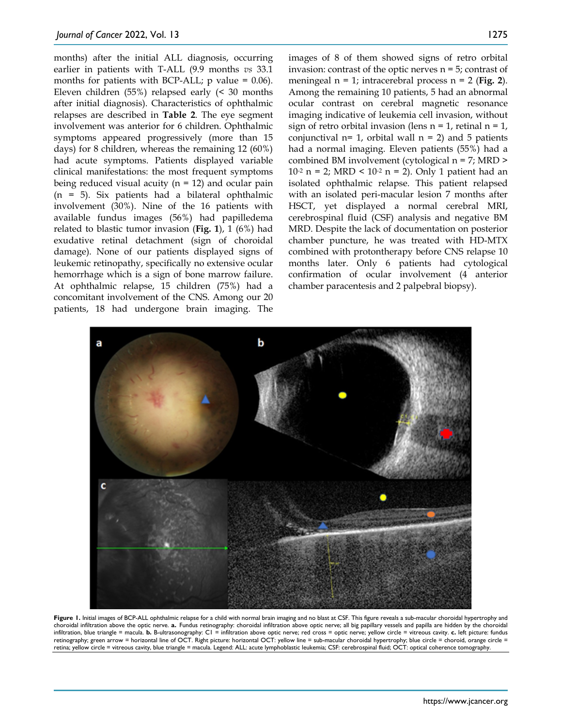months) after the initial ALL diagnosis, occurring earlier in patients with T-ALL (9.9 months *vs* 33.1 months for patients with BCP-ALL;  $p$  value = 0.06). Eleven children (55%) relapsed early (< 30 months after initial diagnosis). Characteristics of ophthalmic relapses are described in **Table 2**. The eye segment involvement was anterior for 6 children. Ophthalmic symptoms appeared progressively (more than 15 days) for 8 children, whereas the remaining 12 (60%) had acute symptoms. Patients displayed variable clinical manifestations: the most frequent symptoms being reduced visual acuity ( $n = 12$ ) and ocular pain  $(n = 5)$ . Six patients had a bilateral ophthalmic involvement (30%). Nine of the 16 patients with available fundus images (56%) had papilledema related to blastic tumor invasion (**Fig. 1**), 1 (6%) had exudative retinal detachment (sign of choroidal damage). None of our patients displayed signs of leukemic retinopathy, specifically no extensive ocular hemorrhage which is a sign of bone marrow failure. At ophthalmic relapse, 15 children (75%) had a concomitant involvement of the CNS. Among our 20 patients, 18 had undergone brain imaging. The

images of 8 of them showed signs of retro orbital invasion: contrast of the optic nerves n = 5; contrast of meningeal n = 1; intracerebral process n = 2 (**Fig. 2**). Among the remaining 10 patients, 5 had an abnormal ocular contrast on cerebral magnetic resonance imaging indicative of leukemia cell invasion, without sign of retro orbital invasion (lens  $n = 1$ , retinal  $n = 1$ , conjunctival  $n=1$ , orbital wall  $n = 2$ ) and 5 patients had a normal imaging. Eleven patients (55%) had a combined BM involvement (cytological n = 7; MRD > 10<sup>-2</sup> n = 2; MRD < 10<sup>-2</sup> n = 2). Only 1 patient had an isolated ophthalmic relapse. This patient relapsed with an isolated peri-macular lesion 7 months after HSCT, yet displayed a normal cerebral MRI, cerebrospinal fluid (CSF) analysis and negative BM MRD. Despite the lack of documentation on posterior chamber puncture, he was treated with HD-MTX combined with protontherapy before CNS relapse 10 months later. Only 6 patients had cytological confirmation of ocular involvement (4 anterior chamber paracentesis and 2 palpebral biopsy).



**Figure 1.** Initial images of BCP-ALL ophthalmic relapse for a child with normal brain imaging and no blast at CSF. This figure reveals a sub-macular choroidal hypertrophy and choroidal infiltration above the optic nerve. **a.** Fundus retinography: choroidal infiltration above optic nerve; all big papillary vessels and papilla are hidden by the choroidal infiltration, blue triangle = macula. **b.** B-ultrasonography: C1 = infiltration above optic nerve; red cross = optic nerve; yellow circle = vitreous cavity. **c.** left picture: fundus retinography; green arrow = horizontal line of OCT. Right picture: horizontal OCT: yellow line = sub-macular choroidal hypertrophy; blue circle = choroid, orange circle = retina; yellow circle = vitreous cavity, blue triangle = macula. Legend: ALL: acute lymphoblastic leukemia; CSF: cerebrospinal fluid; OCT: optical coherence tomography.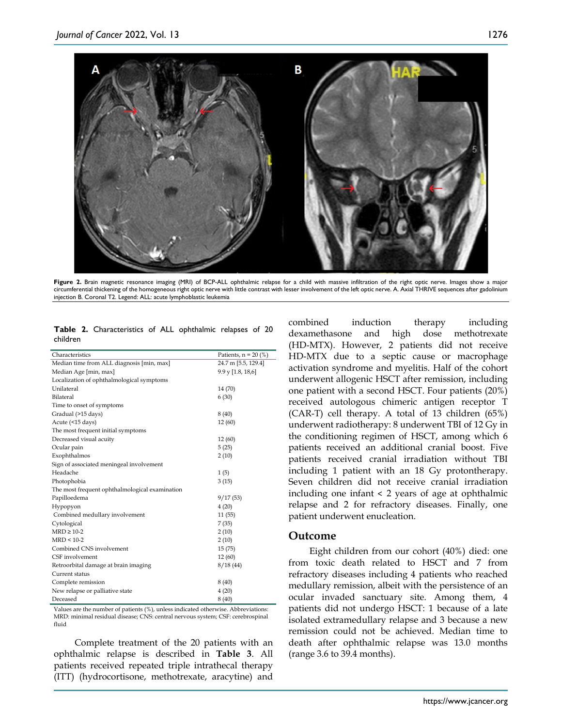

Figure 2. Brain magnetic resonance imaging (MRI) of BCP-ALL ophthalmic relapse for a child with massive infiltration of the right optic nerve. Images show a major circumferential thickening of the homogeneous right optic nerve with little contrast with lesser involvement of the left optic nerve. A. Axial THRIVE sequences after gadolinium injection B. Coronal T2. Legend: ALL: acute lymphoblastic leukemia

**Table 2.** Characteristics of ALL ophthalmic relapses of 20 children

| Characteristics                                | Patients, $n = 20$ (%) |
|------------------------------------------------|------------------------|
| Median time from ALL diagnosis [min, max]      | 24.7 m [5.5, 129.4]    |
| Median Age [min, max]                          | 9.9 y [1.8, 18,6]      |
| Localization of ophthalmological symptoms      |                        |
| Unilateral                                     | 14 (70)                |
| Bilateral                                      | 6(30)                  |
| Time to onset of symptoms                      |                        |
| Gradual (>15 days)                             | 8 (40)                 |
| Acute (<15 days)                               | 12(60)                 |
| The most frequent initial symptoms             |                        |
| Decreased visual acuity                        | 12(60)                 |
| Ocular pain                                    | 5(25)                  |
| Exophthalmos                                   | 2(10)                  |
| Sign of associated meningeal involvement       |                        |
| Headache                                       | 1(5)                   |
| Photophobia                                    | 3(15)                  |
| The most frequent ophthalmological examination |                        |
| Papilloedema                                   | 9/17(53)               |
| Hypopyon                                       | 4(20)                  |
| Combined medullary involvement                 | 11 (55)                |
| Cytological                                    | 7(35)                  |
| $MRD \ge 10-2$                                 | 2(10)                  |
| $MRD < 10-2$                                   | 2(10)                  |
| Combined CNS involvement                       | 15(75)                 |
| CSF involvement                                | 12(60)                 |
| Retroorbital damage at brain imaging           | 8/18(44)               |
| Current status                                 |                        |
| Complete remission                             | 8(40)                  |
| New relapse or palliative state                | 4(20)                  |
| Deceased                                       | 8(40)                  |

Values are the number of patients (%), unless indicated otherwise. Abbreviations: MRD: minimal residual disease; CNS: central nervous system; CSF: cerebrospinal fluid

Complete treatment of the 20 patients with an ophthalmic relapse is described in **Table 3**. All patients received repeated triple intrathecal therapy (ITT) (hydrocortisone, methotrexate, aracytine) and combined induction therapy including dexamethasone and high dose methotrexate (HD-MTX). However, 2 patients did not receive HD-MTX due to a septic cause or macrophage activation syndrome and myelitis. Half of the cohort underwent allogenic HSCT after remission, including one patient with a second HSCT. Four patients (20%) received autologous chimeric antigen receptor T (CAR-T) cell therapy. A total of 13 children (65%) underwent radiotherapy: 8 underwent TBI of 12 Gy in the conditioning regimen of HSCT, among which 6 patients received an additional cranial boost. Five patients received cranial irradiation without TBI including 1 patient with an 18 Gy protontherapy. Seven children did not receive cranial irradiation including one infant < 2 years of age at ophthalmic relapse and 2 for refractory diseases. Finally, one patient underwent enucleation.

#### **Outcome**

Eight children from our cohort (40%) died: one from toxic death related to HSCT and 7 from refractory diseases including 4 patients who reached medullary remission, albeit with the persistence of an ocular invaded sanctuary site. Among them, 4 patients did not undergo HSCT: 1 because of a late isolated extramedullary relapse and 3 because a new remission could not be achieved. Median time to death after ophthalmic relapse was 13.0 months (range 3.6 to 39.4 months).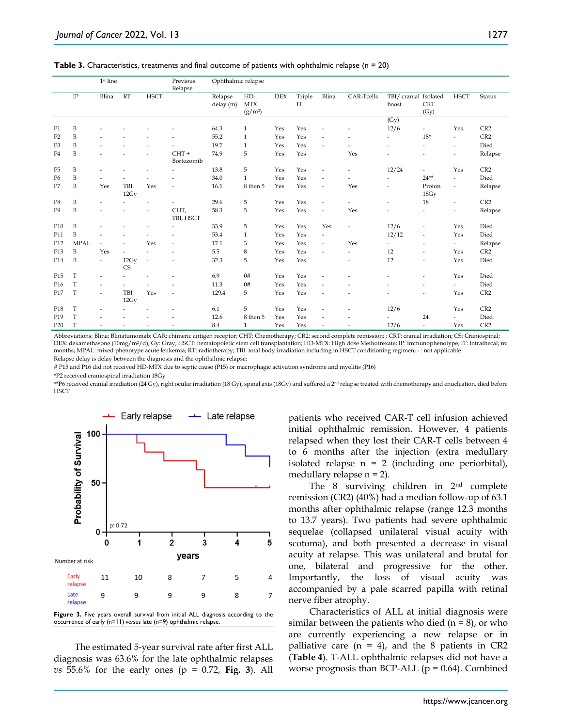**Table 3.** Characteristics, treatments and final outcome of patients with ophthalmic relapse (n = 20)

|                 |              | 1st line                 |                          |                | Previous<br>Relapse      | Ophthalmic relapse   |                                  |     |              |                          |                          |                                |                          |                          |                 |
|-----------------|--------------|--------------------------|--------------------------|----------------|--------------------------|----------------------|----------------------------------|-----|--------------|--------------------------|--------------------------|--------------------------------|--------------------------|--------------------------|-----------------|
|                 | $\rm IP$     | Blina                    | <b>RT</b>                | <b>HSCT</b>    |                          | Relapse<br>delay (m) | $HD-$<br><b>MTX</b><br>$(g/m^2)$ | DEX | Triple<br>IT | Blina                    | CAR-Tcells               | TBI/ cranial Isolated<br>boost | <b>CRT</b><br>(Gy)       | <b>HSCT</b>              | <b>Status</b>   |
|                 |              |                          |                          |                |                          |                      |                                  |     |              |                          |                          | (Gy)                           |                          |                          |                 |
| P1              | B            |                          |                          |                |                          | 64.3                 | $\mathbf{1}$                     | Yes | Yes          |                          |                          | 12/6                           | $\frac{1}{2}$            | Yes                      | CR2             |
| P <sub>2</sub>  | B            |                          |                          |                |                          | 55.2                 | $\mathbf{1}$                     | Yes | Yes          | ٠                        |                          | ٠                              | $18*$                    | $\overline{\phantom{m}}$ | CR <sub>2</sub> |
| P <sub>3</sub>  | B            |                          |                          |                |                          | 19.7                 | $\mathbf{1}$                     | Yes | Yes          | ٠                        |                          | $\overline{\phantom{a}}$       | $\overline{\phantom{a}}$ | ٠                        | Died            |
| P <sub>4</sub>  | B            |                          |                          |                | $CHT +$<br>Bortezomib    | 74.9                 | 5                                | Yes | Yes          |                          | Yes                      |                                | ٠                        | ۰                        | Relapse         |
| P <sub>5</sub>  | B            |                          |                          |                |                          | 13.8                 | 5                                | Yes | Yes          | $\overline{\phantom{a}}$ | ٠                        | 12/24                          | ٠                        | Yes                      | CR2             |
| P <sub>6</sub>  | B            |                          |                          |                |                          | 34.0                 | $\mathbf{1}$                     | Yes | Yes          | $\overline{a}$           | ٠                        | ٠                              | $24**$                   | $\overline{\phantom{a}}$ | Died            |
| P7              | B            | Yes                      | TBI<br>12Gy              | Yes            | ٠                        | 16.1                 | 8 then 5                         | Yes | Yes          | $\overline{\phantom{a}}$ | Yes                      |                                | Proton<br>18Gy           | $\overline{\phantom{m}}$ | Relapse         |
| P8              | B            | ٠                        |                          | ٠              | ٠                        | 29.6                 | 5                                | Yes | Yes          | $\overline{a}$           |                          | ٠                              | 18                       | $\overline{\phantom{m}}$ | CR2             |
| P <sub>9</sub>  | B            | ٠                        |                          | $\overline{a}$ | CHT,<br>TBI, HSCT        | 58.3                 | 5                                | Yes | Yes          | $\overline{\phantom{a}}$ | Yes                      | ٠                              | $\overline{\phantom{a}}$ | ٠                        | Relapse         |
| P10             | $\, {\bf B}$ |                          |                          |                | ٠                        | 33.9                 | 5                                | Yes | Yes          | Yes                      | $\overline{\phantom{a}}$ | 12/6                           | $\overline{\phantom{m}}$ | Yes                      | Died            |
| P11             | B            |                          |                          |                | ٠                        | 53.4                 | $\mathbf{1}$                     | Yes | Yes          | $\overline{\phantom{a}}$ |                          | 12/12                          | $\overline{\phantom{a}}$ | Yes                      | Died            |
| P <sub>12</sub> | <b>MPAL</b>  | $\overline{\phantom{a}}$ | ٠                        | Yes            | ٠                        | 17.1                 | 3                                | Yes | Yes          | $\overline{\phantom{a}}$ | Yes                      | ٠                              | $\overline{\phantom{a}}$ | $\frac{1}{2}$            | Relapse         |
| P13             | B            | Yes                      | $\overline{\phantom{a}}$ |                | ٠                        | 5.5                  | 8                                | Yes | Yes          | ٠                        | ٠                        | 12                             | $\overline{\phantom{a}}$ | Yes                      | CR2             |
| P14             | B            | ٠                        | 12Gy<br><b>CS</b>        | $\overline{a}$ | ٠                        | 32.3                 | 5                                | Yes | Yes          |                          | ٠                        | 12                             | ٠                        | Yes                      | Died            |
| P <sub>15</sub> | T            | ٠                        |                          |                | ٠                        | 6.9                  | 0#                               | Yes | Yes          | ÷,                       |                          | $\overline{\phantom{a}}$       | $\frac{1}{2}$            | Yes                      | Died            |
| P <sub>16</sub> | $\mathbf T$  | ٠                        |                          |                |                          | 11.3                 | 0#                               | Yes | Yes          | ٠                        |                          |                                | ۰                        | ٠                        | Died            |
| P17             | T            | ٠                        | TBI<br>12Gy              | Yes            | ٠                        | 129.4                | 5                                | Yes | Yes          | ٠                        |                          |                                | ٠                        | Yes                      | CR <sub>2</sub> |
| P <sub>18</sub> | $\mathbf T$  | ٠                        |                          |                | $\overline{\phantom{a}}$ | 6.1                  | 5                                | Yes | Yes          | ÷,                       |                          | 12/6                           |                          | Yes                      | CR2             |
| P <sub>19</sub> | T            |                          |                          |                | ٠                        | 12.6                 | 8 then 5                         | Yes | Yes          | ٠                        |                          |                                | 24                       | ٠                        | Died            |
| P <sub>20</sub> | T            | $\overline{a}$           |                          |                | $\overline{\phantom{a}}$ | 8.4                  | $\mathbf{1}$                     | Yes | Yes          | ÷,                       | $\overline{a}$           | 12/6                           | $\overline{\phantom{a}}$ | Yes                      | CR <sub>2</sub> |

Abbreviations: Blina: Blinatumomab; CAR: chimeric antigen receptor; CHT: Chemotherapy; CR2: second complete remission; ; CRT: cranial irradiation; CS: Craniospinal; DEX: dexamethasone (10mg/m2/d); Gy: Gray; HSCT: hematopoietic stem cell transplantation; HD-MTX: High dose Methotrexate; IP: immunophenotype; IT: intrathecal; m: months; MPAL: mixed phenotype acute leukemia; RT: radiotherapy; TBI: total body irradiation including in HSCT conditioning regimen; - : not applicable Relapse delay is delay between the diagnosis and the ophthalmic relapse;

# P15 and P16 did not received HD-MTX due to septic cause (P15) or macrophagic activation syndrome and myelitis (P16)

\*P2 received craniospinal irradiation 18Gy

\*\*P6 received cranial irradiation (24 Gy), right ocular irradiation (18 Gy), spinal axis (18Gy) and suffered a 2<sup>nd</sup> relapse treated with chemotherapy and enucleation, died before **HSCT** 



The estimated 5-year survival rate after first ALL diagnosis was 63.6% for the late ophthalmic relapses *vs* 55.6% for the early ones (p = 0.72, **Fig. 3**). All patients who received CAR-T cell infusion achieved initial ophthalmic remission. However, 4 patients relapsed when they lost their CAR-T cells between 4 to 6 months after the injection (extra medullary isolated relapse  $n = 2$  (including one periorbital), medullary relapse  $n = 2$ ).

The 8 surviving children in 2nd complete remission (CR2) (40%) had a median follow-up of 63.1 months after ophthalmic relapse (range 12.3 months to 13.7 years). Two patients had severe ophthalmic sequelae (collapsed unilateral visual acuity with scotoma), and both presented a decrease in visual acuity at relapse. This was unilateral and brutal for one, bilateral and progressive for the other. Importantly, the loss of visual acuity was accompanied by a pale scarred papilla with retinal nerve fiber atrophy.

Characteristics of ALL at initial diagnosis were similar between the patients who died  $(n = 8)$ , or who are currently experiencing a new relapse or in palliative care  $(n = 4)$ , and the 8 patients in CR2 (**Table 4**). T-ALL ophthalmic relapses did not have a worse prognosis than BCP-ALL ( $p = 0.64$ ). Combined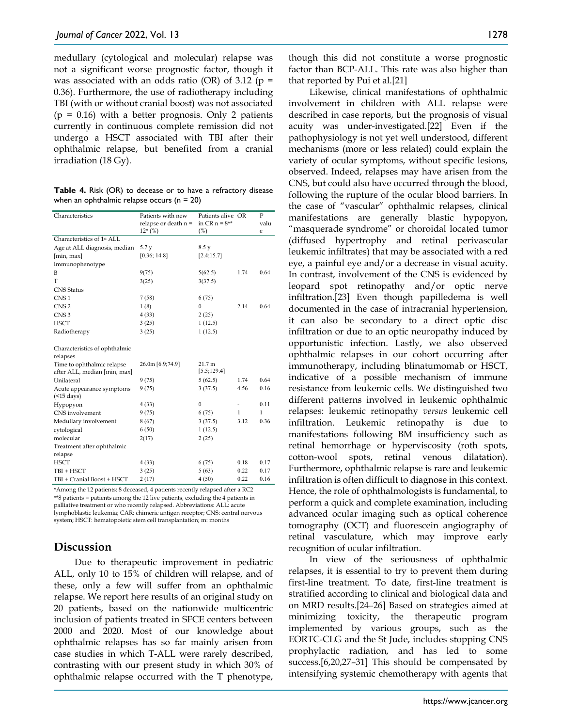medullary (cytological and molecular) relapse was not a significant worse prognostic factor, though it was associated with an odds ratio (OR) of 3.12 ( $p =$ 0.36). Furthermore, the use of radiotherapy including TBI (with or without cranial boost) was not associated  $(p = 0.16)$  with a better prognosis. Only 2 patients currently in continuous complete remission did not undergo a HSCT associated with TBI after their ophthalmic relapse, but benefited from a cranial irradiation (18 Gy).

**Table 4.** Risk (OR) to decease or to have a refractory disease when an ophthalmic relapse occurs ( $n = 20$ )

| Characteristics                        | Patients with new      | Patients alive OR |      | $\mathbf{P}$ |
|----------------------------------------|------------------------|-------------------|------|--------------|
|                                        | relapse or death $n =$ | in $CR_n = 8**$   |      | valu         |
| Characteristics of 1 <sup>st</sup> ALL | $12*(%)$               | (%)               |      | e            |
|                                        |                        |                   |      |              |
| Age at ALL diagnosis, median           | 5.7 y                  | 8.5y              |      |              |
| [min, max]                             | [0.36; 14.8]           | [2.4; 15.7]       |      |              |
| Immunophenotype                        |                        |                   |      |              |
| B                                      | 9(75)                  | 5(62.5)           | 1.74 | 0.64         |
| T                                      | 3(25)                  | 3(37.5)           |      |              |
| <b>CNS</b> Status                      |                        |                   |      |              |
| CNS <sub>1</sub>                       | 7(58)                  | 6(75)             |      |              |
| CNS <sub>2</sub>                       | 1(8)                   | $\theta$          | 2.14 | 0.64         |
| CNS <sub>3</sub>                       | 4(33)                  | 2(25)             |      |              |
| <b>HSCT</b>                            | 3(25)                  | 1(12.5)           |      |              |
| Radiotherapy                           | 3(25)                  | 1(12.5)           |      |              |
|                                        |                        |                   |      |              |
| Characteristics of ophthalmic          |                        |                   |      |              |
| relapses                               |                        |                   |      |              |
| Time to ophthalmic relapse             | 26.0m [6.9;74.9]       | 21.7 m            |      |              |
| after ALL, median [min, max]           |                        | [5.5; 129.4]      |      |              |
| Unilateral                             | 9(75)                  | 5(62.5)           | 1.74 | 0.64         |
| Acute appearance symptoms              | 9 (75)                 | 3(37.5)           | 4.56 | 0.16         |
| (                                      |                        |                   |      |              |
| Hypopyon                               | 4(33)                  | $\mathbf{0}$      |      | 0.11         |
| CNS involvement                        | 9 (75)                 | 6(75)             | 1    | 1            |
| Medullary involvement                  | 8(67)                  | 3(37.5)           | 3.12 | 0.36         |
| cytological                            | 6(50)                  | 1(12.5)           |      |              |
| molecular                              | 2(17)                  | 2(25)             |      |              |
| Treatment after ophthalmic             |                        |                   |      |              |
| relapse                                |                        |                   |      |              |
| <b>HSCT</b>                            | 4(33)                  | 6(75)             | 0.18 | 0.17         |
| TBI + HSCT                             | 3(25)                  | 5(63)             | 0.22 | 0.17         |
| TBI + Cranial Boost + HSCT             | 2(17)                  | 4(50)             | 0.22 | 0.16         |
|                                        |                        |                   |      |              |

\*Among the 12 patients: 8 deceased, 4 patients recently relapsed after a RC2 \*\*8 patients = patients among the 12 live patients, excluding the 4 patients in palliative treatment or who recently relapsed. Abbreviations: ALL: acute lymphoblastic leukemia; CAR: chimeric antigen receptor; CNS: central nervous system; HSCT: hematopoietic stem cell transplantation; m: months

## **Discussion**

Due to therapeutic improvement in pediatric ALL, only 10 to 15% of children will relapse, and of these, only a few will suffer from an ophthalmic relapse. We report here results of an original study on 20 patients, based on the nationwide multicentric inclusion of patients treated in SFCE centers between 2000 and 2020. Most of our knowledge about ophthalmic relapses has so far mainly arisen from case studies in which T-ALL were rarely described, contrasting with our present study in which 30% of ophthalmic relapse occurred with the T phenotype,

though this did not constitute a worse prognostic factor than BCP-ALL. This rate was also higher than that reported by Pui et al.[21]

Likewise, clinical manifestations of ophthalmic involvement in children with ALL relapse were described in case reports, but the prognosis of visual acuity was under-investigated.[22] Even if the pathophysiology is not yet well understood, different mechanisms (more or less related) could explain the variety of ocular symptoms, without specific lesions, observed. Indeed, relapses may have arisen from the CNS, but could also have occurred through the blood, following the rupture of the ocular blood barriers. In the case of "vascular" ophthalmic relapses, clinical manifestations are generally blastic hypopyon, "masquerade syndrome" or choroidal located tumor (diffused hypertrophy and retinal perivascular leukemic infiltrates) that may be associated with a red eye, a painful eye and/or a decrease in visual acuity. In contrast, involvement of the CNS is evidenced by leopard spot retinopathy and/or optic nerve infiltration.[23] Even though papilledema is well documented in the case of intracranial hypertension, it can also be secondary to a direct optic disc infiltration or due to an optic neuropathy induced by opportunistic infection. Lastly, we also observed ophthalmic relapses in our cohort occurring after immunotherapy, including blinatumomab or HSCT, indicative of a possible mechanism of immune resistance from leukemic cells. We distinguished two different patterns involved in leukemic ophthalmic relapses: leukemic retinopathy *versus* leukemic cell infiltration. Leukemic retinopathy is due to manifestations following BM insufficiency such as retinal hemorrhage or hyperviscosity (roth spots, cotton-wool spots, retinal venous dilatation). Furthermore, ophthalmic relapse is rare and leukemic infiltration is often difficult to diagnose in this context. Hence, the role of ophthalmologists is fundamental, to perform a quick and complete examination, including advanced ocular imaging such as optical coherence tomography (OCT) and fluorescein angiography of retinal vasculature, which may improve early recognition of ocular infiltration.

In view of the seriousness of ophthalmic relapses, it is essential to try to prevent them during first-line treatment. To date, first-line treatment is stratified according to clinical and biological data and on MRD results.[24–26] Based on strategies aimed at minimizing toxicity, the therapeutic program implemented by various groups, such as the EORTC-CLG and the St Jude, includes stopping CNS prophylactic radiation, and has led to some success.[6,20,27–31] This should be compensated by intensifying systemic chemotherapy with agents that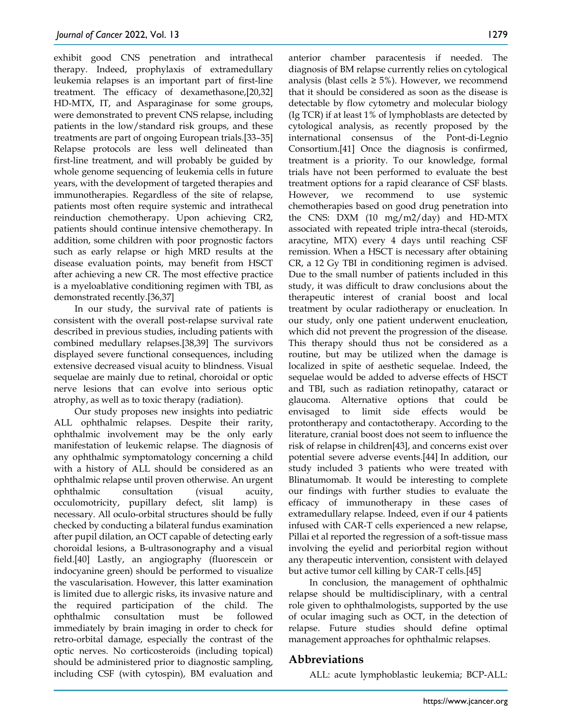exhibit good CNS penetration and intrathecal therapy. Indeed, prophylaxis of extramedullary leukemia relapses is an important part of first-line treatment. The efficacy of dexamethasone,[20,32] HD-MTX, IT, and Asparaginase for some groups, were demonstrated to prevent CNS relapse, including patients in the low/standard risk groups, and these treatments are part of ongoing European trials.[33–35] Relapse protocols are less well delineated than first-line treatment, and will probably be guided by whole genome sequencing of leukemia cells in future years, with the development of targeted therapies and immunotherapies. Regardless of the site of relapse, patients most often require systemic and intrathecal reinduction chemotherapy. Upon achieving CR2, patients should continue intensive chemotherapy. In addition, some children with poor prognostic factors such as early relapse or high MRD results at the disease evaluation points, may benefit from HSCT after achieving a new CR. The most effective practice is a myeloablative conditioning regimen with TBI, as demonstrated recently.[36,37]

In our study, the survival rate of patients is consistent with the overall post-relapse survival rate described in previous studies, including patients with combined medullary relapses.[38,39] The survivors displayed severe functional consequences, including extensive decreased visual acuity to blindness. Visual sequelae are mainly due to retinal, choroidal or optic nerve lesions that can evolve into serious optic atrophy, as well as to toxic therapy (radiation).

Our study proposes new insights into pediatric ALL ophthalmic relapses. Despite their rarity, ophthalmic involvement may be the only early manifestation of leukemic relapse. The diagnosis of any ophthalmic symptomatology concerning a child with a history of ALL should be considered as an ophthalmic relapse until proven otherwise. An urgent ophthalmic consultation (visual acuity, occulomotricity, pupillary defect, slit lamp) is necessary. All oculo-orbital structures should be fully checked by conducting a bilateral fundus examination after pupil dilation, an OCT capable of detecting early choroidal lesions, a B-ultrasonography and a visual field.[40] Lastly, an angiography (fluorescein or indocyanine green) should be performed to visualize the vascularisation. However, this latter examination is limited due to allergic risks, its invasive nature and the required participation of the child. The ophthalmic consultation must be followed immediately by brain imaging in order to check for retro-orbital damage, especially the contrast of the optic nerves. No corticosteroids (including topical) should be administered prior to diagnostic sampling, including CSF (with cytospin), BM evaluation and

anterior chamber paracentesis if needed. The diagnosis of BM relapse currently relies on cytological analysis (blast cells  $\geq 5\%$ ). However, we recommend that it should be considered as soon as the disease is detectable by flow cytometry and molecular biology (Ig TCR) if at least 1% of lymphoblasts are detected by cytological analysis, as recently proposed by the international consensus of the Pont-di-Legnio Consortium.[41] Once the diagnosis is confirmed, treatment is a priority. To our knowledge, formal trials have not been performed to evaluate the best treatment options for a rapid clearance of CSF blasts. However, we recommend to use systemic chemotherapies based on good drug penetration into the CNS: DXM (10 mg/m2/day) and HD-MTX associated with repeated triple intra-thecal (steroids, aracytine, MTX) every 4 days until reaching CSF remission. When a HSCT is necessary after obtaining CR, a 12 Gy TBI in conditioning regimen is advised. Due to the small number of patients included in this study, it was difficult to draw conclusions about the therapeutic interest of cranial boost and local treatment by ocular radiotherapy or enucleation. In our study, only one patient underwent enucleation, which did not prevent the progression of the disease. This therapy should thus not be considered as a routine, but may be utilized when the damage is localized in spite of aesthetic sequelae. Indeed, the sequelae would be added to adverse effects of HSCT and TBI, such as radiation retinopathy, cataract or glaucoma. Alternative options that could be envisaged to limit side effects would be protontherapy and contactotherapy. According to the literature, cranial boost does not seem to influence the risk of relapse in children[43], and concerns exist over potential severe adverse events.[44] In addition, our study included 3 patients who were treated with Blinatumomab. It would be interesting to complete our findings with further studies to evaluate the efficacy of immunotherapy in these cases of extramedullary relapse. Indeed, even if our 4 patients infused with CAR-T cells experienced a new relapse, Pillai et al reported the regression of a soft-tissue mass involving the eyelid and periorbital region without any therapeutic intervention, consistent with delayed but active tumor cell killing by CAR-T cells.[45]

In conclusion, the management of ophthalmic relapse should be multidisciplinary, with a central role given to ophthalmologists, supported by the use of ocular imaging such as OCT, in the detection of relapse. Future studies should define optimal management approaches for ophthalmic relapses.

## **Abbreviations**

ALL: acute lymphoblastic leukemia; BCP-ALL: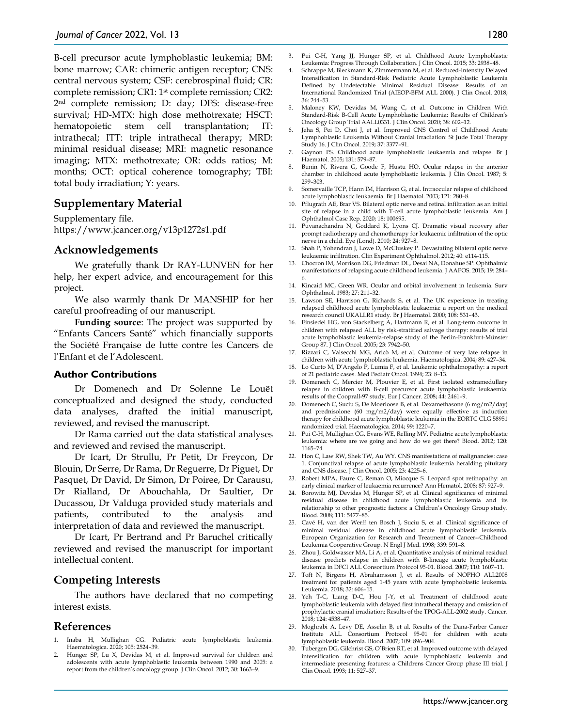B-cell precursor acute lymphoblastic leukemia; BM: bone marrow; CAR: chimeric antigen receptor; CNS: central nervous system; CSF: cerebrospinal fluid; CR: complete remission; CR1: 1st complete remission; CR2: 2nd complete remission; D: day; DFS: disease-free survival; HD-MTX: high dose methotrexate; HSCT: hematopoietic stem cell transplantation; IT: intrathecal; ITT: triple intrathecal therapy; MRD: minimal residual disease; MRI: magnetic resonance imaging; MTX: methotrexate; OR: odds ratios; M: months; OCT: optical coherence tomography; TBI: total body irradiation; Y: years.

## **Supplementary Material**

Supplementary file. https://www.jcancer.org/v13p1272s1.pdf

#### **Acknowledgements**

We gratefully thank Dr RAY-LUNVEN for her help, her expert advice, and encouragement for this project.

We also warmly thank Dr MANSHIP for her careful proofreading of our manuscript.

**Funding source**: The project was supported by "Enfants Cancers Santé" which financially supports the Société Française de lutte contre les Cancers de l'Enfant et de l'Adolescent.

#### **Author Contributions**

Dr Domenech and Dr Solenne Le Louët conceptualized and designed the study, conducted data analyses, drafted the initial manuscript, reviewed, and revised the manuscript.

Dr Rama carried out the data statistical analyses and reviewed and revised the manuscript.

Dr Icart, Dr Strullu, Pr Petit, Dr Freycon, Dr Blouin, Dr Serre, Dr Rama, Dr Reguerre, Dr Piguet, Dr Pasquet, Dr David, Dr Simon, Dr Poiree, Dr Carausu, Dr Rialland, Dr Abouchahla, Dr Saultier, Dr Ducassou, Dr Valduga provided study materials and patients, contributed to the analysis and interpretation of data and reviewed the manuscript.

Dr Icart, Pr Bertrand and Pr Baruchel critically reviewed and revised the manuscript for important intellectual content.

#### **Competing Interests**

The authors have declared that no competing interest exists.

#### **References**

- 1. Inaba H, Mullighan CG. Pediatric acute lymphoblastic leukemia. Haematologica. 2020; 105: 2524–39.
- Hunger SP, Lu X, Devidas M, et al. Improved survival for children and adolescents with acute lymphoblastic leukemia between 1990 and 2005: a report from the children's oncology group. J Clin Oncol. 2012; 30: 1663–9.
- 3. Pui C-H, Yang JJ, Hunger SP, et al. Childhood Acute Lymphoblastic Leukemia: Progress Through Collaboration. J Clin Oncol. 2015; 33: 2938–48.
- 4. Schrappe M, Bleckmann K, Zimmermann M, et al. Reduced-Intensity Delayed Intensification in Standard-Risk Pediatric Acute Lymphoblastic Leukemia Defined by Undetectable Minimal Residual Disease: Results of an International Randomized Trial (AIEOP-BFM ALL 2000). J Clin Oncol. 2018; 36: 244–53.
- 5. Maloney KW, Devidas M, Wang C, et al. Outcome in Children With Standard-Risk B-Cell Acute Lymphoblastic Leukemia: Results of Children's Oncology Group Trial AALL0331. J Clin Oncol. 2020; 38: 602–12.
- Jeha S, Pei D, Choi J, et al. Improved CNS Control of Childhood Acute Lymphoblastic Leukemia Without Cranial Irradiation: St Jude Total Therapy Study 16. J Clin Oncol. 2019; 37: 3377–91.
- 7. Gaynon PS. Childhood acute lymphoblastic leukaemia and relapse. Br J Haematol. 2005; 131: 579–87.
- 8. Bunin N, Rivera G, Goode F, Hustu HO. Ocular relapse in the anterior chamber in childhood acute lymphoblastic leukemia. J Clin Oncol. 1987; 5: 299–303.
- 9. Somervaille TCP, Hann IM, Harrison G, et al. Intraocular relapse of childhood acute lymphoblastic leukaemia. Br J Haematol. 2003; 121: 280–8.
- 10. Pflugrath AE, Brar VS. Bilateral optic nerve and retinal infiltration as an initial site of relapse in a child with T-cell acute lymphoblastic leukemia. Am J Ophthalmol Case Rep. 2020; 18: 100695.
- 11. Puvanachandra N, Goddard K, Lyons CJ. Dramatic visual recovery after prompt radiotherapy and chemotherapy for leukaemic infiltration of the optic nerve in a child. Eye (Lond). 2010; 24: 927–8.
- 12. Shah P, Yohendran J, Lowe D, McCluskey P. Devastating bilateral optic nerve leukaemic infiltration. Clin Experiment Ophthalmol. 2012; 40: e114-115.
- 13. Chocron IM, Morrison DG, Friedman DL, Desai NA, Donahue SP. Ophthalmic manifestations of relapsing acute childhood leukemia. J AAPOS. 2015; 19: 284– 6.
- 14. Kincaid MC, Green WR. Ocular and orbital involvement in leukemia. Surv Ophthalmol. 1983; 27: 211–32.
- 15. Lawson SE, Harrison G, Richards S, et al. The UK experience in treating relapsed childhood acute lymphoblastic leukaemia: a report on the medical research council UKALLR1 study. Br J Haematol. 2000; 108: 531–43.
- 16. Einsiedel HG, von Stackelberg A, Hartmann R, et al. Long-term outcome in children with relapsed ALL by risk-stratified salvage therapy: results of trial acute lymphoblastic leukemia-relapse study of the Berlin-Frankfurt-Münster Group 87. J Clin Oncol. 2005; 23: 7942–50.
- 17. Rizzari C, Valsecchi MG, Aricò M, et al. Outcome of very late relapse in children with acute lymphoblastic leukemia. Haematologica. 2004; 89: 427–34.
- 18. Lo Curto M, D'Angelo P, Lumia F, et al. Leukemic ophthalmopathy: a report of 21 pediatric cases. Med Pediatr Oncol. 1994; 23: 8–13.
- 19. Domenech C, Mercier M, Plouvier E, et al. First isolated extramedullary relapse in children with B-cell precursor acute lymphoblastic leukaemia: results of the Cooprall-97 study. Eur J Cancer. 2008; 44: 2461–9.
- 20. Domenech C, Suciu S, De Moerloose B, et al. Dexamethasone (6 mg/m2/day) and prednisolone (60 mg/m2/day) were equally effective as induction therapy for childhood acute lymphoblastic leukemia in the EORTC CLG 58951 randomized trial. Haematologica. 2014; 99: 1220–7.
- 21. Pui C-H, Mullighan CG, Evans WE, Relling MV. Pediatric acute lymphoblastic leukemia: where are we going and how do we get there? Blood. 2012; 120: 1165–74.
- 22. Hon C, Law RW, Shek TW, Au WY. CNS manifestations of malignancies: case 1. Conjunctival relapse of acute lymphoblastic leukemia heralding pituitary and CNS disease. J Clin Oncol. 2005; 23: 4225–6.
- 23. Robert MPA, Faure C, Reman O, Miocque S. Leopard spot retinopathy: an early clinical marker of leukaemia recurrence? Ann Hematol. 2008; 87: 927–9.
- 24. Borowitz MJ, Devidas M, Hunger SP, et al. Clinical significance of minimal residual disease in childhood acute lymphoblastic leukemia and its relationship to other prognostic factors: a Children's Oncology Group study. Blood. 2008; 111: 5477–85.
- 25. Cavé H, van der Werff ten Bosch J, Suciu S, et al. Clinical significance of minimal residual disease in childhood acute lymphoblastic leukemia. European Organization for Research and Treatment of Cancer--Childhood Leukemia Cooperative Group. N Engl J Med. 1998; 339: 591–8.
- 26. Zhou J, Goldwasser MA, Li A, et al. Quantitative analysis of minimal residual disease predicts relapse in children with B-lineage acute lymphoblastic leukemia in DFCI ALL Consortium Protocol 95-01. Blood. 2007; 110: 1607–11.
- 27. Toft N, Birgens H, Abrahamsson J, et al. Results of NOPHO ALL2008 treatment for patients aged 1-45 years with acute lymphoblastic leukemia. Leukemia. 2018; 32: 606–15.
- 28. Yeh T-C, Liang D-C, Hou J-Y, et al. Treatment of childhood acute lymphoblastic leukemia with delayed first intrathecal therapy and omission of prophylactic cranial irradiation: Results of the TPOG-ALL-2002 study. Cancer. 2018; 124: 4538–47.
- 29. Moghrabi A, Levy DE, Asselin B, et al. Results of the Dana-Farber Cancer Institute ALL Consortium Protocol 95-01 for children with acute lymphoblastic leukemia. Blood. 2007; 109: 896–904.
- 30. Tubergen DG, Gilchrist GS, O'Brien RT, et al. Improved outcome with delayed intensification for children with acute lymphoblastic leukemia and intermediate presenting features: a Childrens Cancer Group phase III trial. J Clin Oncol. 1993; 11: 527–37.